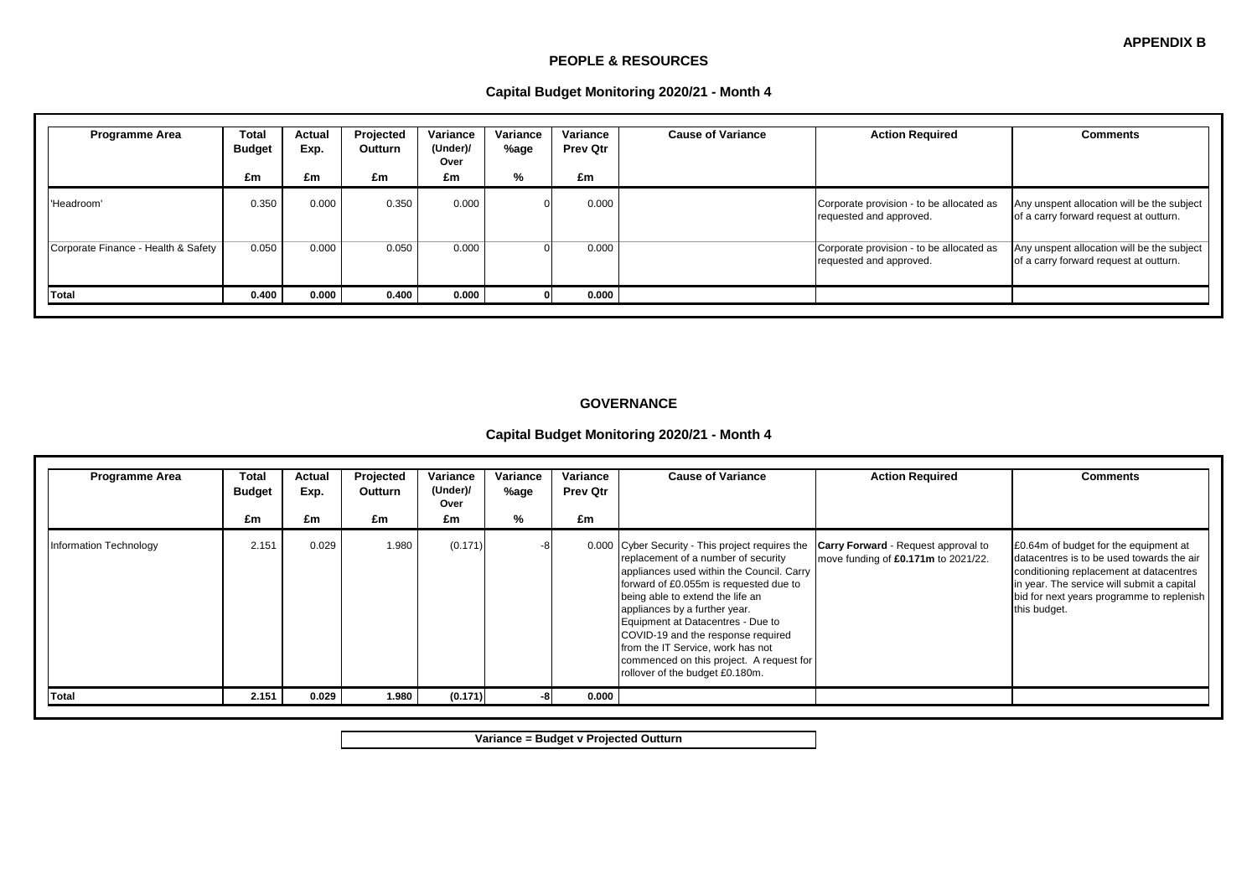#### **PEOPLE & RESOURCES**

| Capital Budget Monitoring 2020/21 - Month 4 |  |  |  |  |
|---------------------------------------------|--|--|--|--|
|---------------------------------------------|--|--|--|--|

| <b>Programme Area</b>               | <b>Total</b><br><b>Budget</b><br>£m | Actual<br>Exp.<br>£m | Projected<br>Outturn<br>£m | Variance<br>(Under)/<br>Over<br>£m | Variance<br>%age<br>% | Variance<br><b>Prev Qtr</b><br>£m | <b>Cause of Variance</b> | <b>Action Required</b>                                              | <b>Comments</b>                                                                      |
|-------------------------------------|-------------------------------------|----------------------|----------------------------|------------------------------------|-----------------------|-----------------------------------|--------------------------|---------------------------------------------------------------------|--------------------------------------------------------------------------------------|
| 'Headroom'                          | 0.350                               | 0.000                | 0.350                      | 0.000                              |                       | 0.000                             |                          | Corporate provision - to be allocated as<br>requested and approved. | Any unspent allocation will be the subject<br>of a carry forward request at outturn. |
| Corporate Finance - Health & Safety | 0.050                               | 0.000                | 0.050                      | 0.000                              | $\Omega$              | 0.000                             |                          | Corporate provision - to be allocated as<br>requested and approved. | Any unspent allocation will be the subject<br>of a carry forward request at outturn. |
| Total                               | 0.400                               | 0.000                | 0.400                      | 0.000                              |                       | 0.000                             |                          |                                                                     |                                                                                      |

### **GOVERNANCE**

# **Capital Budget Monitoring 2020/21 - Month 4**

| <b>Programme Area</b>  | Total<br><b>Budget</b><br>£m | Actual<br>Exp.<br>£m | Projected<br><b>Outturn</b><br>£m | Variance<br>(Under)/<br>Over<br>£m | Variance<br>%age<br>% | Variance<br><b>Prev Qtr</b><br>£m | <b>Cause of Variance</b>                                                                                                                                                                                                                                                                                                                                                                                                                           | <b>Action Required</b>                                                            | <b>Comments</b>                                                                                                                                                                                                                          |
|------------------------|------------------------------|----------------------|-----------------------------------|------------------------------------|-----------------------|-----------------------------------|----------------------------------------------------------------------------------------------------------------------------------------------------------------------------------------------------------------------------------------------------------------------------------------------------------------------------------------------------------------------------------------------------------------------------------------------------|-----------------------------------------------------------------------------------|------------------------------------------------------------------------------------------------------------------------------------------------------------------------------------------------------------------------------------------|
| Information Technology | 2.151                        | 0.029                | 1.980                             | (0.171)                            |                       |                                   | 0.000 Cyber Security - This project requires the<br>replacement of a number of security<br>appliances used within the Council. Carry<br>forward of £0.055m is requested due to<br>being able to extend the life an<br>appliances by a further year.<br>Equipment at Datacentres - Due to<br>COVID-19 and the response required<br>from the IT Service, work has not<br>commenced on this project. A request for<br>rollover of the budget £0.180m. | <b>Carry Forward</b> - Request approval to<br>move funding of £0.171m to 2021/22. | £0.64m of budget for the equipment at<br>datacentres is to be used towards the air<br>conditioning replacement at datacentres<br>in year. The service will submit a capital<br>bid for next years programme to replenish<br>this budget. |
| Total                  | 2.151                        | 0.029                | 1.980                             | (0.171)                            |                       | 0.000                             |                                                                                                                                                                                                                                                                                                                                                                                                                                                    |                                                                                   |                                                                                                                                                                                                                                          |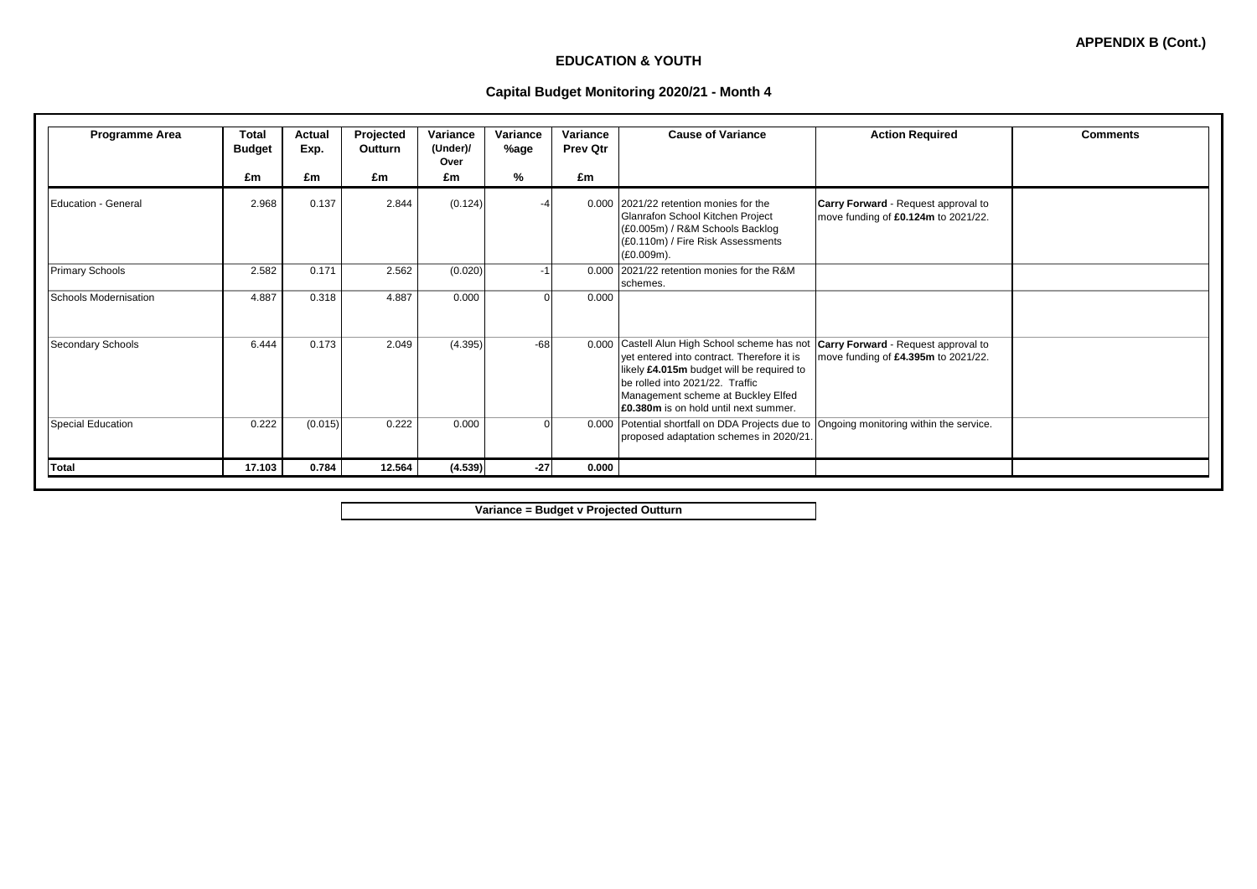# **EDUCATION & YOUTH**

### **Capital Budget Monitoring 2020/21 - Month 4**

| Programme Area               | Total<br><b>Budget</b> | Actual<br>Exp. | Projected<br>Outturn | Variance<br>(Under)/<br>Over | Variance<br>%age | Variance<br><b>Prev Qtr</b> | <b>Cause of Variance</b>                                                                                                                                                                                                                                    | <b>Action Required</b>                                                            | <b>Comments</b> |
|------------------------------|------------------------|----------------|----------------------|------------------------------|------------------|-----------------------------|-------------------------------------------------------------------------------------------------------------------------------------------------------------------------------------------------------------------------------------------------------------|-----------------------------------------------------------------------------------|-----------------|
|                              | £m                     | £m             | £m                   | £m                           | %                | £m                          |                                                                                                                                                                                                                                                             |                                                                                   |                 |
| Education - General          | 2.968                  | 0.137          | 2.844                | (0.124)                      |                  |                             | 0.000 2021/22 retention monies for the<br>Glanrafon School Kitchen Project<br>(£0.005m) / R&M Schools Backlog<br>(£0.110m) / Fire Risk Assessments<br>(£0.009m).                                                                                            | Carry Forward - Request approval to<br>move funding of £0.124m to 2021/22.        |                 |
| <b>Primary Schools</b>       | 2.582                  | 0.171          | 2.562                | (0.020)                      | $-1$             |                             | 0.000 2021/22 retention monies for the R&M<br>schemes.                                                                                                                                                                                                      |                                                                                   |                 |
| <b>Schools Modernisation</b> | 4.887                  | 0.318          | 4.887                | 0.000                        | $\Omega$         | 0.000                       |                                                                                                                                                                                                                                                             |                                                                                   |                 |
| <b>Secondary Schools</b>     | 6.444                  | 0.173          | 2.049                | (4.395)                      | $-68$            | 0.000                       | Castell Alun High School scheme has not<br>vet entered into contract. Therefore it is<br>likely £4.015m budget will be required to<br>be rolled into 2021/22. Traffic<br>Management scheme at Buckley Elfed<br><b>E0.380m</b> is on hold until next summer. | <b>Carry Forward</b> - Request approval to<br>move funding of £4.395m to 2021/22. |                 |
| <b>Special Education</b>     | 0.222                  | (0.015)        | 0.222                | 0.000                        | $\Omega$         | 0.000                       | Potential shortfall on DDA Projects due to Ongoing monitoring within the service.<br>proposed adaptation schemes in 2020/21.                                                                                                                                |                                                                                   |                 |
| <b>Total</b>                 | 17.103                 | 0.784          | 12.564               | (4.539)                      | $-27$            | 0.000                       |                                                                                                                                                                                                                                                             |                                                                                   |                 |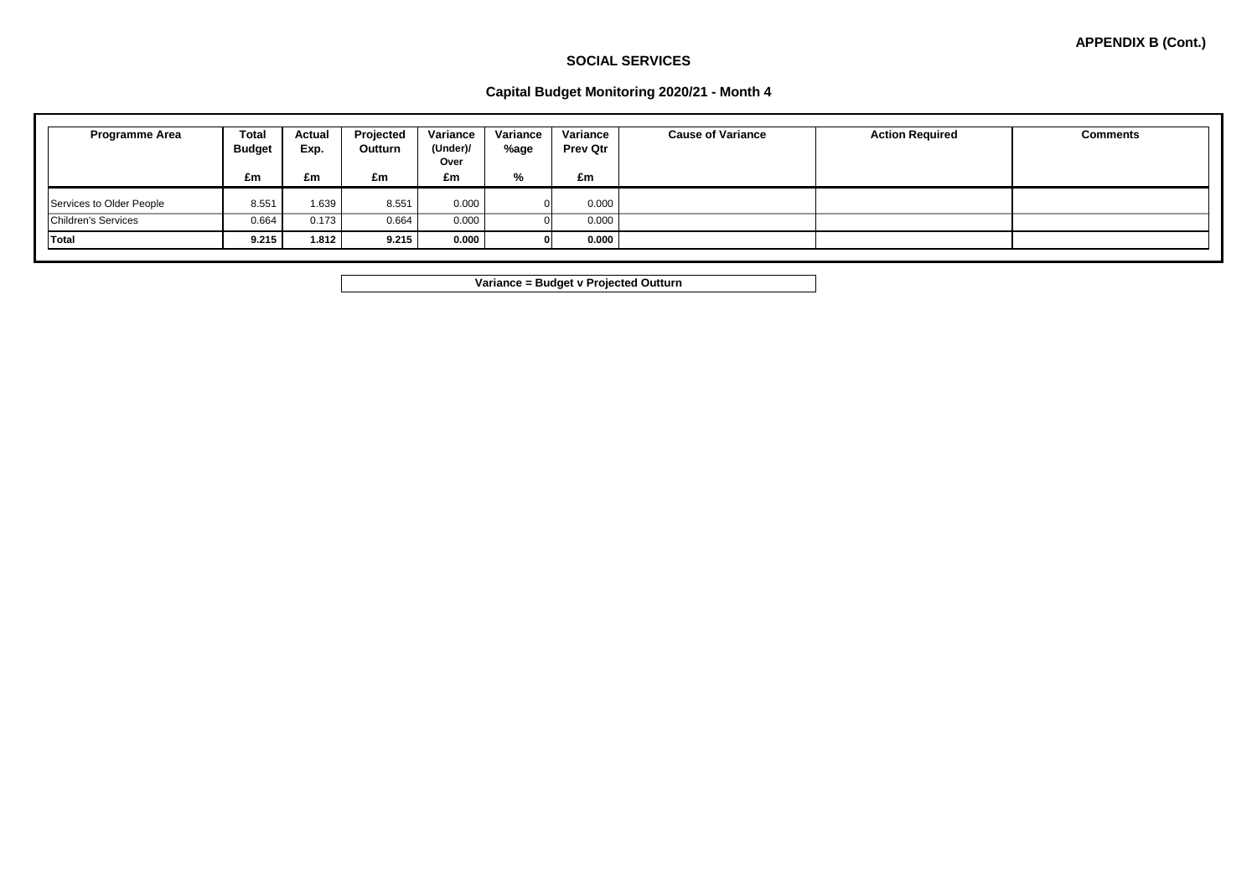### **SOCIAL SERVICES**

### **Capital Budget Monitoring 2020/21 - Month 4**

| Programme Area                                         | <b>Total</b><br><b>Budget</b> | <b>Actual</b><br>Exp. | Projected<br>Outturn | Variance<br>(Under)/<br>Over | Variance<br>%age | Variance<br><b>Prev Qtr</b> | <b>Cause of Variance</b> | <b>Action Required</b> | <b>Comments</b> |
|--------------------------------------------------------|-------------------------------|-----------------------|----------------------|------------------------------|------------------|-----------------------------|--------------------------|------------------------|-----------------|
|                                                        | £m                            | £m                    | £m                   | £m                           | %                | £m                          |                          |                        |                 |
| Services to Older People<br><b>Children's Services</b> | 8.551<br>0.664                | 1.639<br>0.173        | 8.551<br>0.664       | 0.000<br>0.000               |                  | 0.000<br>0.000              |                          |                        |                 |
| <b>Total</b>                                           | 9.215                         | 1.812                 | 9.215                | 0.000                        |                  | 0.000                       |                          |                        |                 |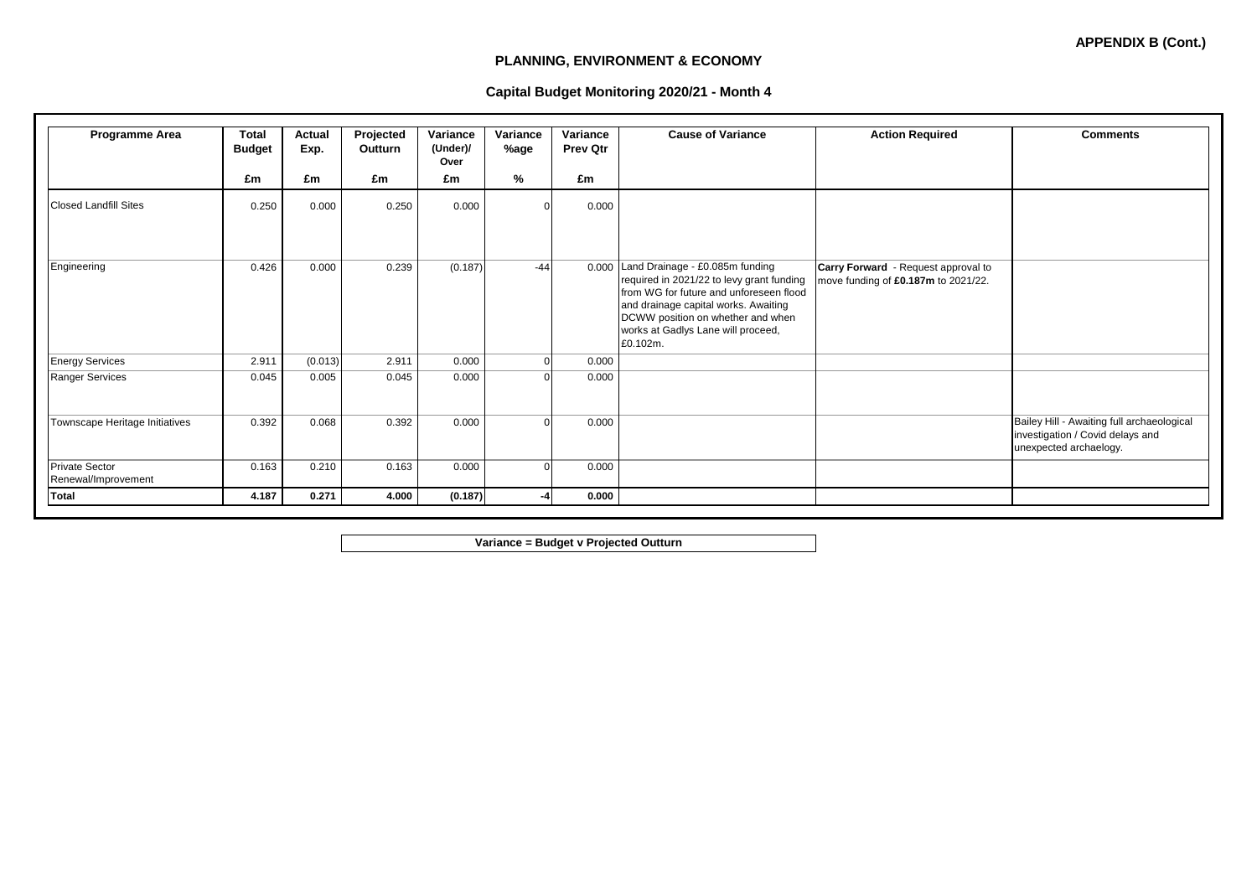# **PLANNING, ENVIRONMENT & ECONOMY**

### **Capital Budget Monitoring 2020/21 - Month 4**

| <b>Programme Area</b>                        | <b>Total</b><br><b>Budget</b> | Actual<br>Exp. | Projected<br>Outturn | Variance<br>(Under)/<br>Over | Variance<br>%age | Variance<br><b>Prev Qtr</b> | <b>Cause of Variance</b>                                                                                                                                                                                                                               | <b>Action Required</b>                                                     | <b>Comments</b>                                                                                          |
|----------------------------------------------|-------------------------------|----------------|----------------------|------------------------------|------------------|-----------------------------|--------------------------------------------------------------------------------------------------------------------------------------------------------------------------------------------------------------------------------------------------------|----------------------------------------------------------------------------|----------------------------------------------------------------------------------------------------------|
|                                              | £m                            | £m             | £m                   | £m                           | %                | £m                          |                                                                                                                                                                                                                                                        |                                                                            |                                                                                                          |
| <b>Closed Landfill Sites</b>                 | 0.250                         | 0.000          | 0.250                | 0.000                        | C                | 0.000                       |                                                                                                                                                                                                                                                        |                                                                            |                                                                                                          |
| Engineering                                  | 0.426                         | 0.000          | 0.239                | (0.187)                      | $-44$            | 0.000                       | Land Drainage - £0.085m funding<br>required in 2021/22 to levy grant funding<br>from WG for future and unforeseen flood<br>and drainage capital works. Awaiting<br>DCWW position on whether and when<br>works at Gadlys Lane will proceed,<br>£0.102m. | Carry Forward - Request approval to<br>move funding of £0.187m to 2021/22. |                                                                                                          |
| <b>Energy Services</b>                       | 2.911                         | (0.013)        | 2.911                | 0.000                        | $\mathbf 0$      | 0.000                       |                                                                                                                                                                                                                                                        |                                                                            |                                                                                                          |
| <b>Ranger Services</b>                       | 0.045                         | 0.005          | 0.045                | 0.000                        | $\Omega$         | 0.000                       |                                                                                                                                                                                                                                                        |                                                                            |                                                                                                          |
| Townscape Heritage Initiatives               | 0.392                         | 0.068          | 0.392                | 0.000                        | $\Omega$         | 0.000                       |                                                                                                                                                                                                                                                        |                                                                            | Bailey Hill - Awaiting full archaeological<br>investigation / Covid delays and<br>unexpected archaelogy. |
| <b>Private Sector</b><br>Renewal/Improvement | 0.163                         | 0.210          | 0.163                | 0.000                        | $\Omega$         | 0.000                       |                                                                                                                                                                                                                                                        |                                                                            |                                                                                                          |
| Total                                        | 4.187                         | 0.271          | 4.000                | (0.187)                      |                  | 0.000                       |                                                                                                                                                                                                                                                        |                                                                            |                                                                                                          |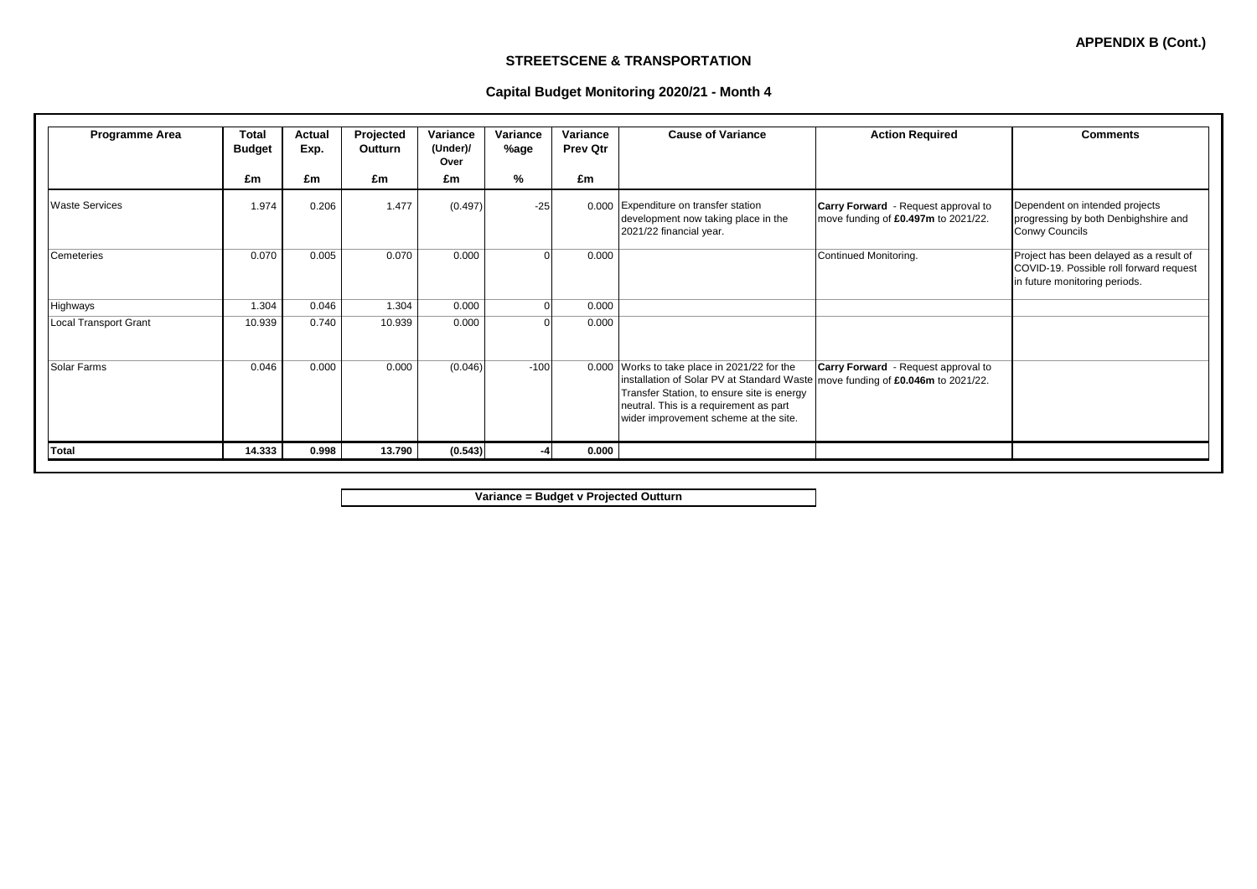**APPENDIX B (Cont.)**

### **STREETSCENE & TRANSPORTATION**

### **Capital Budget Monitoring 2020/21 - Month 4**

| Programme Area               | <b>Total</b><br><b>Budget</b> | Actual<br>Exp. | Projected<br>Outturn | Variance<br>(Under)/<br>Over | Variance<br>%age | Variance<br><b>Prev Qtr</b> | <b>Cause of Variance</b>                                                                                                                                                                                              | <b>Action Required</b>                                                            | <b>Comments</b>                                                                                                     |
|------------------------------|-------------------------------|----------------|----------------------|------------------------------|------------------|-----------------------------|-----------------------------------------------------------------------------------------------------------------------------------------------------------------------------------------------------------------------|-----------------------------------------------------------------------------------|---------------------------------------------------------------------------------------------------------------------|
|                              | £m                            | £m             | £m                   | £m                           | %                | £m                          |                                                                                                                                                                                                                       |                                                                                   |                                                                                                                     |
| <b>Waste Services</b>        | 1.974                         | 0.206          | 1.477                | (0.497)                      | $-25$            |                             | 0.000 Expenditure on transfer station<br>development now taking place in the<br>2021/22 financial year.                                                                                                               | <b>Carry Forward</b> - Request approval to<br>move funding of £0.497m to 2021/22. | Dependent on intended projects<br>progressing by both Denbighshire and<br>Conwy Councils                            |
| Cemeteries                   | 0.070                         | 0.005          | 0.070                | 0.000                        |                  | 0.000                       |                                                                                                                                                                                                                       | Continued Monitoring.                                                             | Project has been delayed as a result of<br>COVID-19. Possible roll forward request<br>in future monitoring periods. |
| Highways                     | 1.304                         | 0.046          | 1.304                | 0.000                        | $\Omega$         | 0.000                       |                                                                                                                                                                                                                       |                                                                                   |                                                                                                                     |
| <b>Local Transport Grant</b> | 10.939                        | 0.740          | 10.939               | 0.000                        |                  | 0.000                       |                                                                                                                                                                                                                       |                                                                                   |                                                                                                                     |
| Solar Farms                  | 0.046                         | 0.000          | 0.000                | (0.046)                      | $-100$           | 0.000                       | Works to take place in 2021/22 for the<br>installation of Solar PV at Standard Waste<br>Transfer Station, to ensure site is energy<br>neutral. This is a requirement as part<br>wider improvement scheme at the site. | <b>Carry Forward</b> - Request approval to<br>move funding of £0.046m to 2021/22. |                                                                                                                     |
| Total                        | 14.333                        | 0.998          | 13.790               | (0.543)                      |                  | 0.000                       |                                                                                                                                                                                                                       |                                                                                   |                                                                                                                     |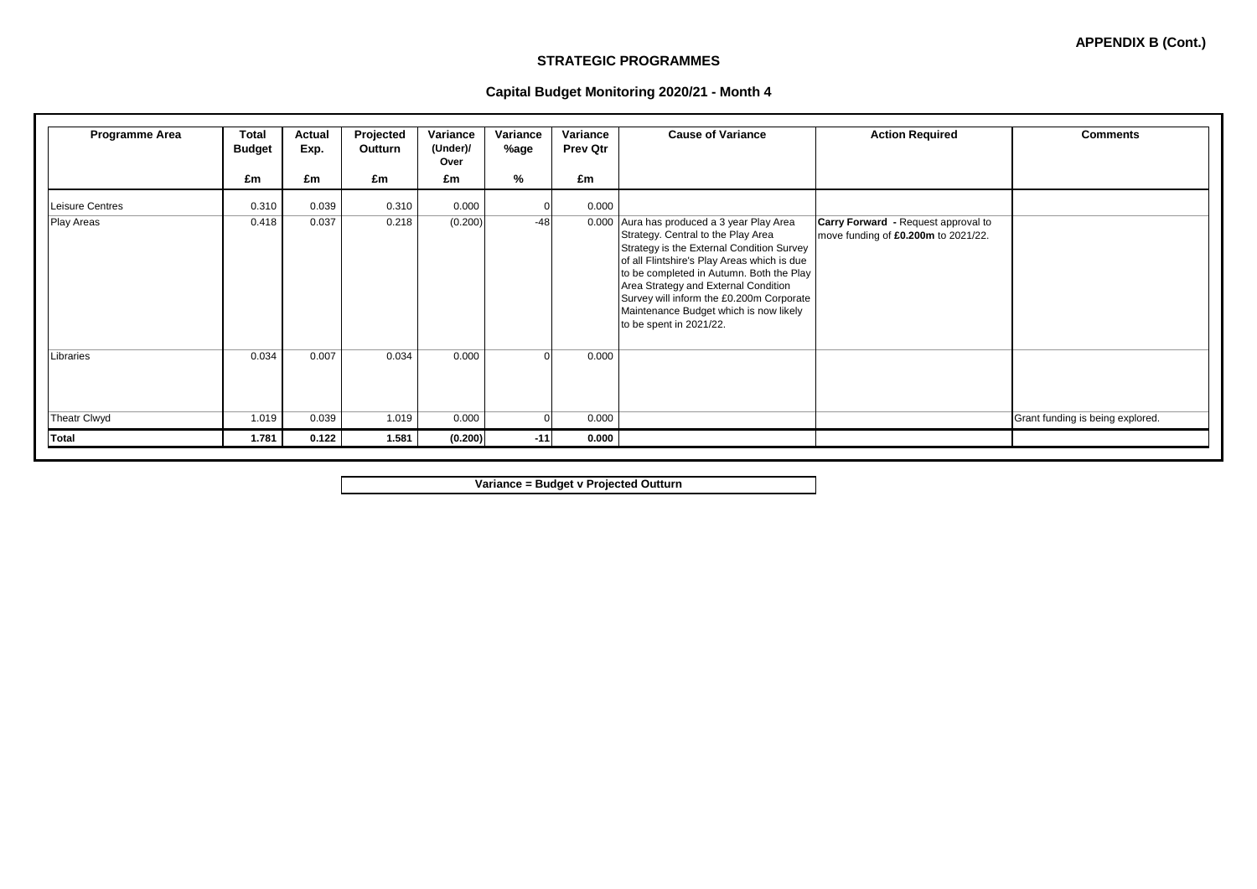**APPENDIX B (Cont.)**

#### **STRATEGIC PROGRAMMES**

|  | Capital Budget Monitoring 2020/21 - Month 4 |  |  |
|--|---------------------------------------------|--|--|
|  |                                             |  |  |

| Programme Area      | Total<br><b>Budget</b> | Actual<br>Exp. | Projected<br>Outturn | Variance<br>(Under)/<br>Over | Variance<br>%age | Variance<br><b>Prev Qtr</b> | <b>Cause of Variance</b>                                                                                                                                                                                                                                                                                                                                                    | <b>Action Required</b>                                                     | <b>Comments</b>                  |
|---------------------|------------------------|----------------|----------------------|------------------------------|------------------|-----------------------------|-----------------------------------------------------------------------------------------------------------------------------------------------------------------------------------------------------------------------------------------------------------------------------------------------------------------------------------------------------------------------------|----------------------------------------------------------------------------|----------------------------------|
|                     | £m                     | £m             | £m                   | £m                           | %                | £m                          |                                                                                                                                                                                                                                                                                                                                                                             |                                                                            |                                  |
| Leisure Centres     | 0.310                  | 0.039          | 0.310                | 0.000                        |                  | 0.000                       |                                                                                                                                                                                                                                                                                                                                                                             |                                                                            |                                  |
| <b>Play Areas</b>   | 0.418                  | 0.037          | 0.218                | (0.200)                      | $-48$            | 0.000                       | Aura has produced a 3 year Play Area<br>Strategy. Central to the Play Area<br>Strategy is the External Condition Survey<br>of all Flintshire's Play Areas which is due<br>to be completed in Autumn. Both the Play<br>Area Strategy and External Condition<br>Survey will inform the £0.200m Corporate<br>Maintenance Budget which is now likely<br>to be spent in 2021/22. | Carry Forward - Request approval to<br>move funding of £0.200m to 2021/22. |                                  |
| Libraries           | 0.034                  | 0.007          | 0.034                | 0.000                        | $\Omega$         | 0.000                       |                                                                                                                                                                                                                                                                                                                                                                             |                                                                            |                                  |
| <b>Theatr Clwyd</b> | 1.019                  | 0.039          | 1.019                | 0.000                        | O                | 0.000                       |                                                                                                                                                                                                                                                                                                                                                                             |                                                                            | Grant funding is being explored. |
| Total               | 1.781                  | 0.122          | 1.581                | (0.200)                      | $-11$            | 0.000                       |                                                                                                                                                                                                                                                                                                                                                                             |                                                                            |                                  |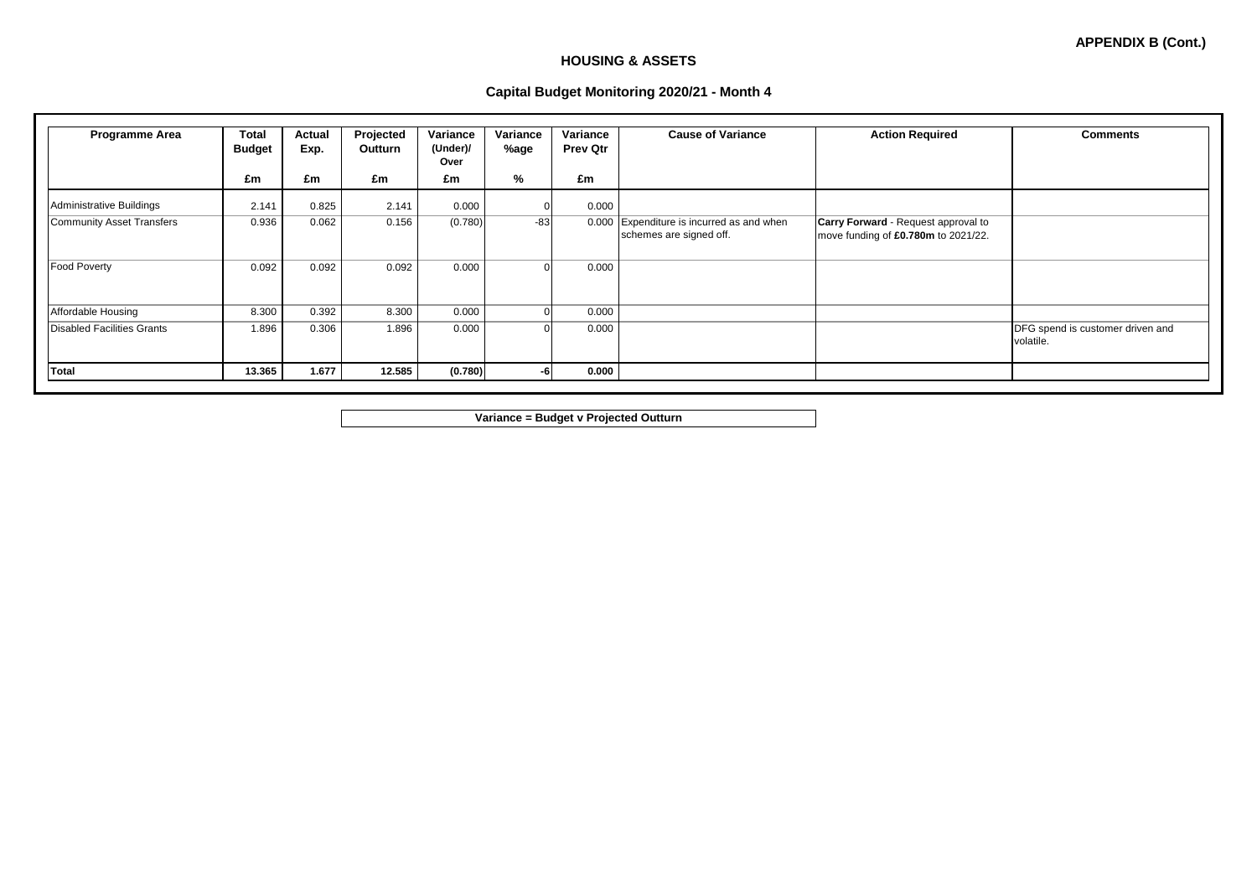## **HOUSING & ASSETS**

### **Capital Budget Monitoring 2020/21 - Month 4**

| <b>Programme Area</b>             | <b>Total</b><br><b>Budget</b> | Actual<br>Exp. | Projected<br>Outturn | Variance<br>(Under)/<br>Over | Variance<br>%age | Variance<br><b>Prev Qtr</b> | <b>Cause of Variance</b>                                       | <b>Action Required</b>                                                            | <b>Comments</b>                               |
|-----------------------------------|-------------------------------|----------------|----------------------|------------------------------|------------------|-----------------------------|----------------------------------------------------------------|-----------------------------------------------------------------------------------|-----------------------------------------------|
|                                   | £m                            | £m             | £m                   | £m                           | %                | £m                          |                                                                |                                                                                   |                                               |
| Administrative Buildings          | 2.141                         | 0.825          | 2.141                | 0.000                        |                  | 0.000                       |                                                                |                                                                                   |                                               |
| <b>Community Asset Transfers</b>  | 0.936                         | 0.062          | 0.156                | (0.780)                      | $-83$            | 0.000                       | Expenditure is incurred as and when<br>schemes are signed off. | <b>Carry Forward - Request approval to</b><br>move funding of £0.780m to 2021/22. |                                               |
| <b>Food Poverty</b>               | 0.092                         | 0.092          | 0.092                | 0.000                        | $\Omega$         | 0.000                       |                                                                |                                                                                   |                                               |
| Affordable Housing                | 8.300                         | 0.392          | 8.300                | 0.000                        | $\Omega$         | 0.000                       |                                                                |                                                                                   |                                               |
| <b>Disabled Facilities Grants</b> | 1.896                         | 0.306          | 1.896                | 0.000                        | $\Omega$         | 0.000                       |                                                                |                                                                                   | DFG spend is customer driven and<br>volatile. |
| <b>Total</b>                      | 13.365                        | 1.677          | 12.585               | (0.780)                      | -6               | 0.000                       |                                                                |                                                                                   |                                               |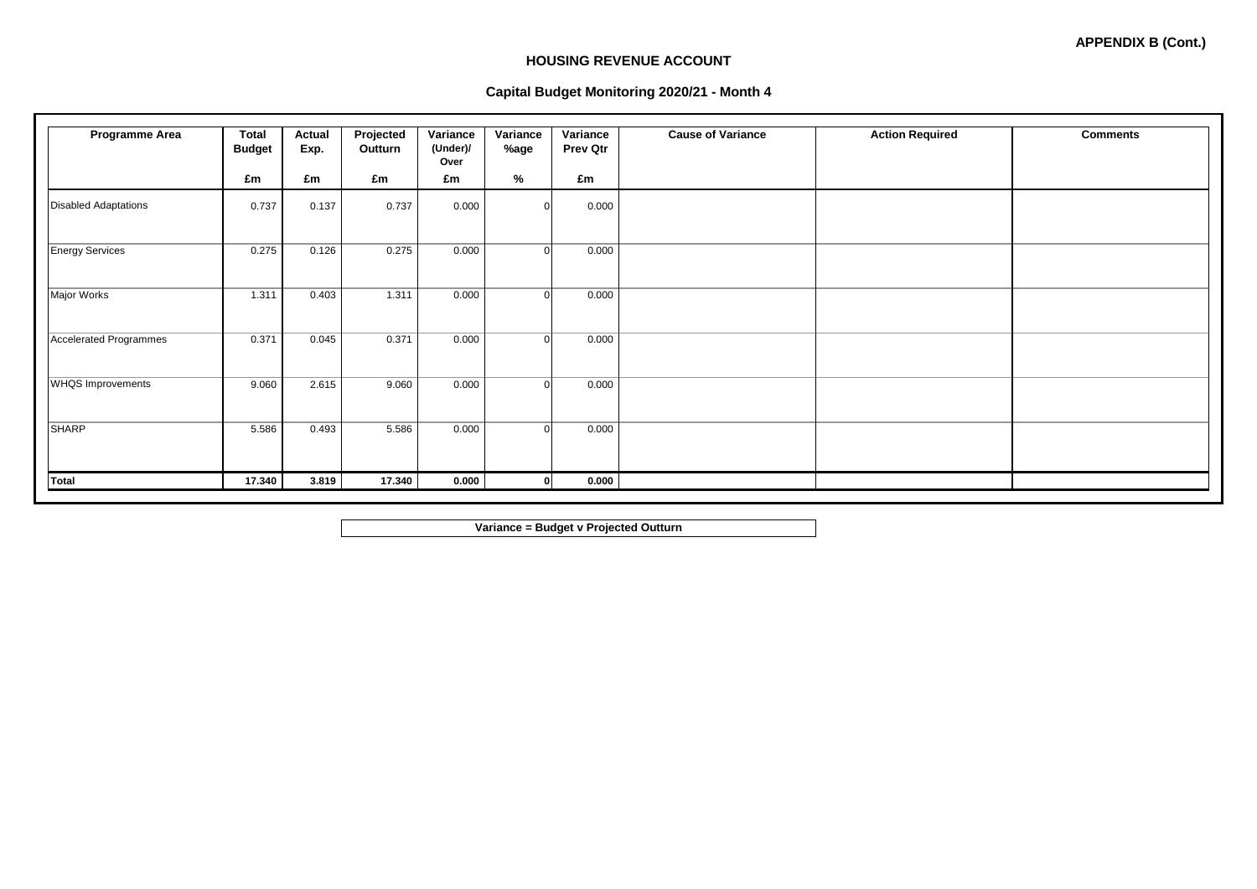### **HOUSING REVENUE ACCOUNT**

### **Capital Budget Monitoring 2020/21 - Month 4**

| Programme Area                | <b>Total</b><br><b>Budget</b> | <b>Actual</b><br>Exp. | Projected<br>Outturn | Variance<br>(Under)/<br>Over | Variance<br>%age | Variance<br><b>Prev Qtr</b> | <b>Cause of Variance</b> | <b>Action Required</b> | <b>Comments</b> |
|-------------------------------|-------------------------------|-----------------------|----------------------|------------------------------|------------------|-----------------------------|--------------------------|------------------------|-----------------|
|                               | £m                            | £m                    | £m                   | £m                           | %                | £m                          |                          |                        |                 |
| <b>Disabled Adaptations</b>   | 0.737                         | 0.137                 | 0.737                | 0.000                        | $\Omega$         | 0.000                       |                          |                        |                 |
| <b>Energy Services</b>        | 0.275                         | 0.126                 | 0.275                | 0.000                        | $\Omega$         | 0.000                       |                          |                        |                 |
| Major Works                   | 1.311                         | 0.403                 | 1.311                | 0.000                        | $\Omega$         | 0.000                       |                          |                        |                 |
| <b>Accelerated Programmes</b> | 0.371                         | 0.045                 | 0.371                | 0.000                        | $\Omega$         | 0.000                       |                          |                        |                 |
| <b>WHQS Improvements</b>      | 9.060                         | 2.615                 | 9.060                | 0.000                        | $\Omega$         | 0.000                       |                          |                        |                 |
| <b>SHARP</b>                  | 5.586                         | 0.493                 | 5.586                | 0.000                        | $\Omega$         | 0.000                       |                          |                        |                 |
| <b>Total</b>                  | 17.340                        | 3.819                 | 17.340               | 0.000                        | $\mathbf{0}$     | 0.000                       |                          |                        |                 |